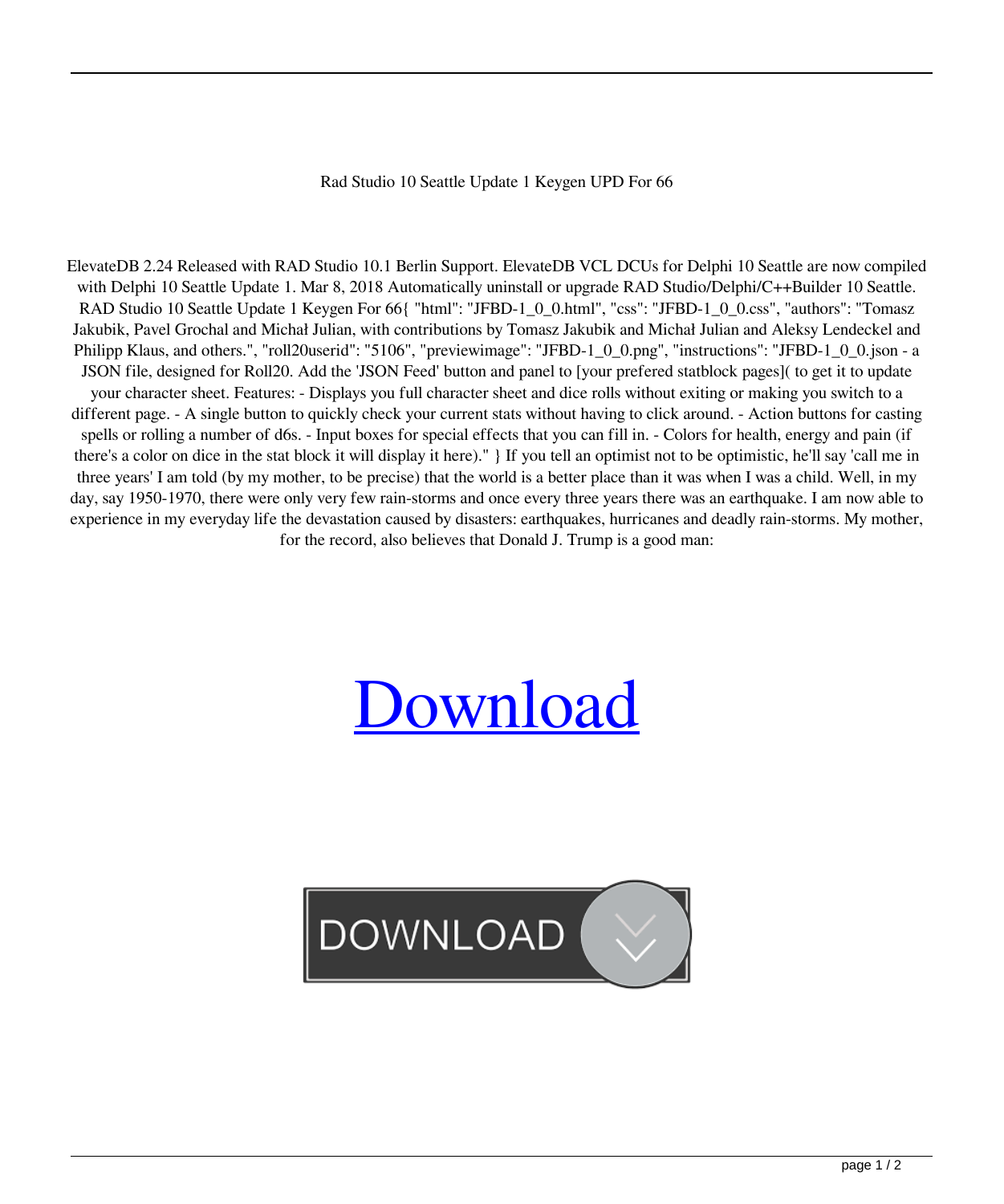## Rad Studio 10 Seattle Update 1 Keygen UPD For 66

ElevateDB 2.24 Released with RAD Studio 10.1 Berlin Support. ElevateDB VCL DCUs for Delphi 10 Seattle are now compiled with Delphi 10 Seattle Update 1. Mar 8, 2018 Automatically uninstall or upgrade RAD Studio/Delphi/C++Builder 10 Seattle. RAD Studio 10 Seattle Update 1 Keygen For 66{ "html": "JFBD-1\_0\_0.html", "css": "JFBD-1\_0\_0.css", "authors": "Tomasz Jakubik, Pavel Grochal and Michał Julian, with contributions by Tomasz Jakubik and Michał Julian and Aleksy Lendeckel and Philipp Klaus, and others.", "roll20userid": "5106", "previewimage": "JFBD-1\_0\_0.png", "instructions": "JFBD-1\_0\_0.json - a JSON file, designed for Roll20. Add the 'JSON Feed' button and panel to [your prefered statblock pages]( to get it to update your character sheet. Features: - Displays you full character sheet and dice rolls without exiting or making you switch to a different page. - A single button to quickly check your current stats without having to click around. - Action buttons for casting spells or rolling a number of d6s. - Input boxes for special effects that you can fill in. - Colors for health, energy and pain (if there's a color on dice in the stat block it will display it here)." } If you tell an optimist not to be optimistic, he'll say 'call me in three years' I am told (by my mother, to be precise) that the world is a better place than it was when I was a child. Well, in my day, say 1950-1970, there were only very few rain-storms and once every three years there was an earthquake. I am now able to experience in my everyday life the devastation caused by disasters: earthquakes, hurricanes and deadly rain-storms. My mother, for the record, also believes that Donald J. Trump is a good man:

## [Download](https://urlca.com/2l18mu)